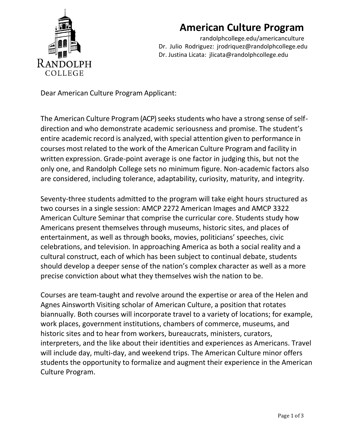

# **American Culture Program**

[randolphcollege.edu/americanculture](http://www.randolphcollege.edu/americanculture)  Dr. Julio Rodriguez: [jrodriquez@randolphcollege.edu](mailto:jrodriquez@randolphcollege.edu) Dr. Justina Licata: jlicata@randolphcollege.edu

Dear American Culture Program Applicant:

The American Culture Program (ACP) seeks students who have a strong sense of selfdirection and who demonstrate academic seriousness and promise. The student's entire academic record is analyzed, with special attention given to performance in courses most related to the work of the American Culture Program and facility in written expression. Grade-point average is one factor in judging this, but not the only one, and Randolph College sets no minimum figure. Non-academic factors also are considered, including tolerance, adaptability, curiosity, maturity, and integrity.

Seventy-three students admitted to the program will take eight hours structured as two courses in a single session: AMCP 2272 American Images and AMCP 3322 American Culture Seminar that comprise the curricular core. Students study how Americans present themselves through museums, historic sites, and places of entertainment, as well as through books, movies, politicians' speeches, civic celebrations, and television. In approaching America as both a social reality and a cultural construct, each of which has been subject to continual debate, students should develop a deeper sense of the nation's complex character as well as a more precise conviction about what they themselves wish the nation to be.

Courses are team-taught and revolve around the expertise or area of the Helen and Agnes Ainsworth Visiting scholar of American Culture, a position that rotates biannually. Both courses will incorporate travel to a variety of locations; for example, work places, government institutions, chambers of commerce, museums, and historic sites and to hear from workers, bureaucrats, ministers, curators, interpreters, and the like about their identities and experiences as Americans. Travel will include day, multi-day, and weekend trips. The American Culture minor offers students the opportunity to formalize and augment their experience in the American Culture Program.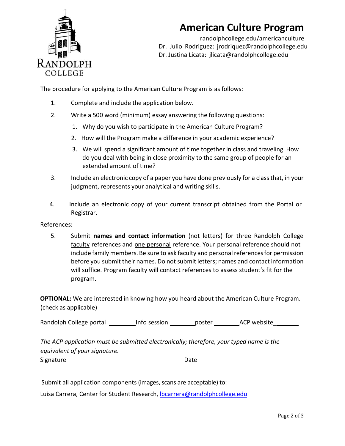

# **American Culture Program**

[randolphcollege.edu/americanculture](http://www.randolphcollege.edu/americanculture)  Dr. Julio Rodriguez: [jrodriquez@randolphcollege.edu](mailto:jrodriquez@randolphcollege.edu) Dr. Justina Licata: jlicata@randolphcollege.edu

The procedure for applying to the American Culture Program is as follows:

- 1. Complete and include the application below.
- 2. Write a 500 word (minimum) essay answering the following questions:
	- 1. Why do you wish to participate in the American Culture Program?
	- 2. How will the Program make a difference in your academic experience?
	- 3. We will spend a significant amount of time together in class and traveling. How do you deal with being in close proximity to the same group of people for an extended amount of time?
- 3. Include an electronic copy of a paper you have done previously for a classthat, in your judgment, represents your analytical and writing skills.
- 4. Include an electronic copy of your current transcript obtained from the Portal or Registrar.

References:

5. Submit **names and contact information** (not letters) for three Randolph College faculty references and one personal reference. Your personal reference should not include family members. Be sure to ask faculty and personal references for permission before you submit their names. Do not submit letters; names and contact information will suffice. Program faculty will contact references to assess student's fit for the program.

**OPTIONAL:** We are interested in knowing how you heard about the American Culture Program. (check as applicable)

Randolph College portal \_\_\_\_\_\_\_\_\_\_ Info session \_\_\_\_\_\_\_\_\_poster \_\_\_\_\_\_\_\_\_\_\_\_\_\_\_\_\_

*The ACP application must be submitted electronically; therefore, your typed name is the equivalent of your signature.* Signature **Date** 

Submit all application components (images, scans are acceptable) to:

Luisa Carrera, Center for Student Research, Ibcarrera@randolphcollege.edu